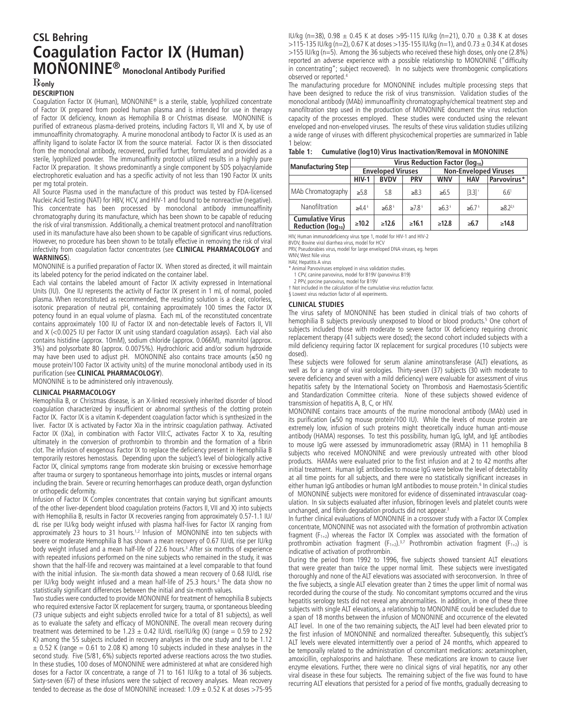# **CSL Behring Coagulation Factor IX (Human) MONONINE® Monoclonal Antibody Purified**

## **only**

# **DESCRIPTION**

Coagulation Factor IX (Human), MONONINE® is a sterile, stable, lyophilized concentrate of Factor IX prepared from pooled human plasma and is intended for use in therapy of Factor IX deficiency, known as Hemophilia B or Christmas disease. MONONINE is purified of extraneous plasma-derived proteins, including Factors II, VII and X, by use of immunoaffinity chromatography. A murine monoclonal antibody to Factor IX is used as an affinity ligand to isolate Factor IX from the source material. Factor IX is then dissociated from the monoclonal antibody, recovered, purified further, formulated and provided as a sterile, lyophilized powder. The immunoaffinity protocol utilized results in a highly pure Factor IX preparation. It shows predominantly a single component by SDS polyacrylamide electrophoretic evaluation and has a specific activity of not less than 190 Factor IX units per mg total protein.

All Source Plasma used in the manufacture of this product was tested by FDA-licensed Nucleic Acid Testing (NAT) for HBV, HCV, and HIV-1 and found to be nonreactive (negative). This concentrate has been processed by monoclonal antibody immunoaffinity chromatography during its manufacture, which has been shown to be capable of reducing the risk of viral transmission. Additionally, a chemical treatment protocol and nanofiltration used in its manufacture have also been shown to be capable of significant virus reductions. However, no procedure has been shown to be totally effective in removing the risk of viral infectivity from coagulation factor concentrates (see **CLINICAL PHARMACOLOGY** and **WARNINGS**).

MONONINE is a purified preparation of Factor IX. When stored as directed, it will maintain its labeled potency for the period indicated on the container label.

Each vial contains the labeled amount of Factor IX activity expressed in International Units (IU). One IU represents the activity of Factor IX present in 1 mL of normal, pooled plasma. When reconstituted as recommended, the resulting solution is a clear, colorless, isotonic preparation of neutral pH, containing approximately 100 times the Factor IX potency found in an equal volume of plasma. Each mL of the reconstituted concentrate contains approximately 100 IU of Factor IX and non-detectable levels of Factors II, VII and X (<0.0025 IU per Factor IX unit using standard coagulation assays). Each vial also contains histidine (approx. 10mM), sodium chloride (approx. 0.066M), mannitol (approx. 3%) and polysorbate 80 (approx. 0.0075%). Hydrochloric acid and/or sodium hydroxide may have been used to adjust pH. MONONINE also contains trace amounts (≤50 ng mouse protein/100 Factor IX activity units) of the murine monoclonal antibody used in its purification (see **CLINICAL PHARMACOLOGY**).

MONONINE is to be administered only intravenously.

### **CLINICAL PHARMACOLOGY**

Hemophilia B, or Christmas disease, is an X-linked recessively inherited disorder of blood coagulation characterized by insufficient or abnormal synthesis of the clotting protein Factor IX. Factor IX is a vitamin K-dependent coagulation factor which is synthesized in the liver. Factor IX is activated by Factor XIa in the intrinsic coagulation pathway. Activated Factor IX (IXa), in combination with Factor VIII:C, activates Factor X to Xa, resulting ultimately in the conversion of prothrombin to thrombin and the formation of a fibrin clot. The infusion of exogenous Factor IX to replace the deficiency present in Hemophilia B temporarily restores hemostasis. Depending upon the subject's level of biologically active Factor IX, clinical symptoms range from moderate skin bruising or excessive hemorrhage after trauma or surgery to spontaneous hemorrhage into joints, muscles or internal organs including the brain. Severe or recurring hemorrhages can produce death, organ dysfunction or orthopedic deformity.

Infusion of Factor IX Complex concentrates that contain varying but significant amounts of the other liver-dependent blood coagulation proteins (Factors II, VII and X) into subjects with Hemophilia B, results in Factor IX recoveries ranging from approximately 0.57-1.1 IU/ dL rise per IU/kg body weight infused with plasma half-lives for Factor IX ranging from approximately 23 hours to 31 hours.<sup>1,2</sup> Infusion of MONONINE into ten subjects with severe or moderate Hemophilia B has shown a mean recovery of 0.67 IU/dL rise per IU/kg body weight infused and a mean half-life of 22.6 hours.<sup>3</sup> After six months of experience with repeated infusions performed on the nine subjects who remained in the study, it was shown that the half-life and recovery was maintained at a level comparable to that found with the initial infusion. The six-month data showed a mean recovery of 0.68 IU/dL rise per IU/kg body weight infused and a mean half-life of 25.3 hours.<sup>3</sup> The data show no statistically significant differences between the initial and six-month values.

Two studies were conducted to provide MONONINE for treatment of hemophilia B subjects who required extensive Factor IX replacement for surgery, trauma, or spontaneous bleeding (73 unique subjects and eight subjects enrolled twice for a total of 81 subjects), as well as to evaluate the safety and efficacy of MONONINE. The overall mean recovery during treatment was determined to be 1.23  $\pm$  0.42 IU/dL rise/IU/kg (K) (range = 0.59 to 2.92 K) among the 55 subjects included in recovery analyses in the one study and to be 1.12  $\pm$  0.52 K (range = 0.61 to 2.08 K) among 10 subjects included in these analyses in the second study. Five (5/81, 6%) subjects reported adverse reactions across the two studies. In these studies, 100 doses of MONONINE were administered at what are considered high doses for a Factor IX concentrate, a range of 71 to 161 IU/kg to a total of 36 subjects. Sixty-seven (67) of these infusions were the subject of recovery analyses. Mean recovery tended to decrease as the dose of MONONINE increased:  $1.09 \pm 0.52$  K at doses >75-95

IU/kg (n=38), 0.98 ± 0.45 K at doses >95-115 IU/kg (n=21), 0.70 ± 0.38 K at doses >115-135 IU/kg (n=2), 0.67 K at doses >135-155 IU/kg (n=1), and 0.73  $\pm$  0.34 K at doses >155 IU/kg (n=5). Among the 36 subjects who received these high doses, only one (2.8%) reported an adverse experience with a possible relationship to MONONINE ("difficulty in concentrating"; subject recovered). In no subjects were thrombogenic complications observed or reported.4

The manufacturing procedure for MONONINE includes multiple processing steps that have been designed to reduce the risk of virus transmission. Validation studies of the monoclonal antibody (MAb) immunoaffinity chromatography/chemical treatment step and nanofiltration step used in the production of MONONINE document the virus reduction capacity of the processes employed. These studies were conducted using the relevant enveloped and non-enveloped viruses. The results of these virus validation studies utilizing a wide range of viruses with different physicochemical properties are summarized in Table 1 below:

| Table 1: |  |  | <b>Cumulative (log10) Virus Inactivation/Removal in MONONINE</b> |  |
|----------|--|--|------------------------------------------------------------------|--|
|----------|--|--|------------------------------------------------------------------|--|

| <b>Manufacturing Step</b>                                 | Virus Reduction Factor (log10) |                          |                     |                              |                        |                           |  |
|-----------------------------------------------------------|--------------------------------|--------------------------|---------------------|------------------------------|------------------------|---------------------------|--|
|                                                           | <b>Enveloped Viruses</b>       |                          |                     | <b>Non-Enveloped Viruses</b> |                        |                           |  |
|                                                           | $HIV-1$                        | <b>BVDV</b>              | <b>PRV</b>          | <b>WNV</b>                   | <b>HAV</b>             | Parvovirus*               |  |
| MAb Chromatography                                        | $\geq 5.8$                     | 5.8                      | $\geq 8.3$          | $\geq 6.5$                   | $[3.3]$ <sup>+</sup>   | 6.6 <sup>1</sup>          |  |
| Nanofiltration                                            | $\geq 4.4$ <sup>§</sup>        | $\geq 6.8$ <sup>\$</sup> | $>7.8$ <sup>§</sup> | $\ge 6.3$ <sup>§</sup>       | $\ge 6.7$ <sup>§</sup> | $\geq 8.2$ <sup>2,5</sup> |  |
| <b>Cumulative Virus</b><br>Reduction (log <sub>10</sub> ) | >10.2                          | >12.6                    | >16.1               | >12.8                        | $\geq 6.7$             | $\geq 14.8$               |  |

HIV, Human immunodeficiency virus type 1, model for HIV-1 and HIV-2

BVDV, Bovine viral diarrhea virus, model for HCV PRV, Pseudorabies virus, model for large enveloped DNA viruses, eg. herpes

WNV, West Nile virus

HAV, Hepatitis A virus

\* Animal Parvoviruses employed in virus validation studies.

1 CPV, canine parvovirus, model for B19V (parvovirus B19)

2 PPV, porcine parvovirus, model for B19V † Not included in the calculation of the cumulative virus reduction factor. § Lowest virus reduction factor of all experiments.

# **CLINICAL STUDIES**

The virus safety of MONONINE has been studied in clinical trials of two cohorts of hemophilia B subjects previously unexposed to blood or blood products.<sup>5</sup> One cohort of subjects included those with moderate to severe factor IX deficiency requiring chronic replacement therapy (41 subjects were dosed); the second cohort included subjects with a mild deficiency requiring factor IX replacement for surgical procedures (10 subjects were dosed).

These subjects were followed for serum alanine aminotransferase (ALT) elevations, as well as for a range of viral serologies. Thirty-seven (37) subjects (30 with moderate to severe deficiency and seven with a mild deficiency) were evaluable for assessment of virus hepatitis safety by the International Society on Thrombosis and Haemostasis-Scientific and Standardization Committee criteria. None of these subjects showed evidence of transmission of hepatitis A, B, C, or HIV.

MONONINE contains trace amounts of the murine monoclonal antibody (MAb) used in its purification (≤50 ng mouse protein/100 IU). While the levels of mouse protein are extremely low, infusion of such proteins might theoretically induce human anti-mouse antibody (HAMA) responses. To test this possibility, human IgG, IgM, and IgE antibodies to mouse IgG were assessed by immunoradiometric assay (IRMA) in 11 hemophilia B subjects who received MONONINE and were previously untreated with other blood products. HAMAs were evaluated prior to the first infusion and at 2 to 42 months after initial treatment. Human IgE antibodies to mouse IgG were below the level of detectability at all time points for all subjects, and there were no statistically significant increases in either human IgG antibodies or human IgM antibodies to mouse protein.<sup>6</sup> In clinical studies of MONONINE subjects were monitored for evidence of disseminated intravascular coagulation. In six subjects evaluated after infusion, fibrinogen levels and platelet counts were unchanged, and fibrin degradation products did not appear.3

In further clinical evaluations of MONONINE in a crossover study with a Factor IX Complex concentrate, MONONINE was not associated with the formation of prothrombin activation fragment  $(F_{1+2})$  whereas the Factor IX Complex was associated with the formation of prothrombin activation fragment  $(F_{1+2})^{3,7}$  Prothrombin activation fragment  $(F_{1+2})$  is indicative of activation of prothrombin.

During the period from 1992 to 1996, five subjects showed transient ALT elevations that were greater than twice the upper normal limit. These subjects were investigated thoroughly and none of the ALT elevations was associated with seroconversion. In three of the five subjects, a single ALT elevation greater than 2 times the upper limit of normal was recorded during the course of the study. No concomitant symptoms occurred and the virus hepatitis serology tests did not reveal any abnormalities. In addition, in one of these three subjects with single ALT elevations, a relationship to MONONINE could be excluded due to a span of 18 months between the infusion of MONONINE and occurrence of the elevated ALT level. In one of the two remaining subjects, the ALT level had been elevated prior to the first infusion of MONONINE and normalized thereafter. Subsequently, this subject's ALT levels were elevated intermittently over a period of 24 months, which appeared to be temporally related to the administration of concomitant medications: acetaminophen, amoxicillin, cephalosporins and halothane. These medications are known to cause liver enzyme elevations. Further, there were no clinical signs of viral hepatitis, nor any other viral disease in these four subjects. The remaining subject of the five was found to have recurring ALT elevations that persisted for a period of five months, gradually decreasing to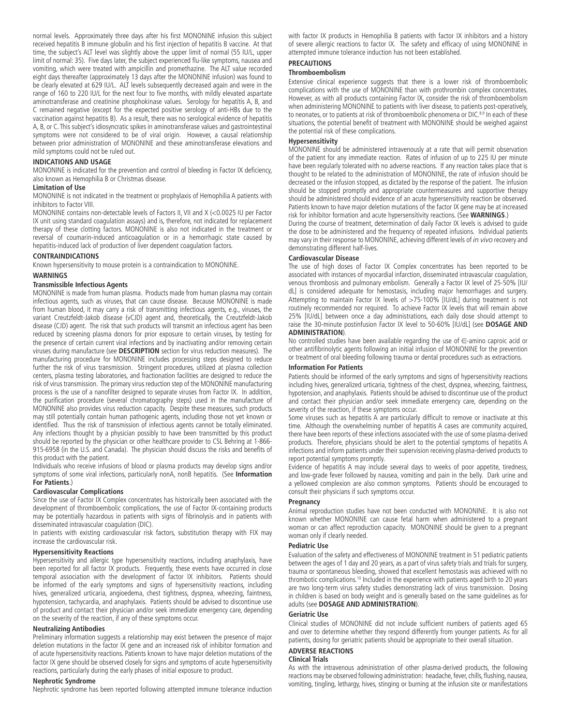normal levels. Approximately three days after his first MONONINE infusion this subject received hepatitis B immune globulin and his first injection of hepatitis B vaccine. At that time, the subject's ALT level was slightly above the upper limit of normal (55 IU/L, upper limit of normal: 35). Five days later, the subject experienced flu-like symptoms, nausea and vomiting, which were treated with ampicillin and promethazine. The ALT value recorded eight days thereafter (approximately 13 days after the MONONINE infusion) was found to be clearly elevated at 629 IU/L. ALT levels subsequently decreased again and were in the range of 160 to 220 IU/L for the next four to five months, with mildly elevated aspartate aminotransferase and creatinine phosphokinase values. Serology for hepatitis A, B, and C remained negative (except for the expected positive serology of anti-HBs due to the vaccination against hepatitis B). As a result, there was no serological evidence of hepatitis A, B, or C. This subject's idiosyncratic spikes in aminotransferase values and gastrointestinal symptoms were not considered to be of viral origin. However, a causal relationship between prior administration of MONONINE and these aminotransferase elevations and mild symptoms could not be ruled out.

### **INDICATIONS AND USAGE**

MONONINE is indicated for the prevention and control of bleeding in Factor IX deficiency, also known as Hemophilia B or Christmas disease.

### **Limitation of Use**

MONONINE is not indicated in the treatment or prophylaxis of Hemophilia A patients with inhibitors to Factor VIII.

MONONINE contains non-detectable levels of Factors II, VII and X (<0.0025 IU per Factor IX unit using standard coagulation assays) and is, therefore, not indicated for replacement therapy of these clotting factors. MONONINE is also not indicated in the treatment or reversal of coumarin-induced anticoagulation or in a hemorrhagic state caused by hepatitis-induced lack of production of liver dependent coagulation factors.

### **CONTRAINDICATIONS**

Known hypersensitivity to mouse protein is a contraindication to MONONINE.

### **WARNINGS**

### **Transmissible Infectious Agents**

MONONINE is made from human plasma. Products made from human plasma may contain infectious agents, such as viruses, that can cause disease. Because MONONINE is made from human blood, it may carry a risk of transmitting infectious agents, e.g., viruses, the variant Creutzfeldt-Jakob disease (vCJD) agent and, theoretically, the Creutzfeldt-Jakob disease (CJD) agent. The risk that such products will transmit an infectious agent has been reduced by screening plasma donors for prior exposure to certain viruses, by testing for the presence of certain current viral infections and by inactivating and/or removing certain viruses during manufacture (see **DESCRIPTION** section for virus reduction measures). The manufacturing procedure for MONONINE includes processing steps designed to reduce further the risk of virus transmission. Stringent procedures, utilized at plasma collection centers, plasma testing laboratories, and fractionation facilities are designed to reduce the risk of virus transmission. The primary virus reduction step of the MONONINE manufacturing process is the use of a nanofilter designed to separate viruses from Factor IX. In addition, the purification procedure (several chromatography steps) used in the manufacture of MONONINE also provides virus reduction capacity. Despite these measures, such products may still potentially contain human pathogenic agents, including those not yet known or identified. Thus the risk of transmission of infectious agents cannot be totally eliminated. Any infections thought by a physician possibly to have been transmitted by this product should be reported by the physician or other healthcare provider to CSL Behring at 1-866- 915-6958 (in the U.S. and Canada). The physician should discuss the risks and benefits of this product with the patient.

Individuals who receive infusions of blood or plasma products may develop signs and/or symptoms of some viral infections, particularly nonA, nonB hepatitis. (See **Information For Patients**.)

### **Cardiovascular Complications**

Since the use of Factor IX Complex concentrates has historically been associated with the development of thromboembolic complications, the use of Factor IX-containing products may be potentially hazardous in patients with signs of fibrinolysis and in patients with disseminated intravascular coagulation (DIC).

In patients with existing cardiovascular risk factors, substitution therapy with FIX may increase the cardiovascular risk.

### **Hypersensitivity Reactions**

Hypersensitivity and allergic type hypersensitivity reactions, including anaphylaxis, have been reported for all factor IX products. Frequently, these events have occurred in close temporal association with the development of factor IX inhibitors. Patients should be informed of the early symptoms and signs of hypersensitivity reactions, including hives, generalized urticaria, angioedema, chest tightness, dyspnea, wheezing, faintness, hypotension, tachycardia, and anaphylaxis. Patients should be advised to discontinue use of product and contact their physician and/or seek immediate emergency care, depending on the severity of the reaction, if any of these symptoms occur.

### **Neutralizing Antibodies**

Preliminary information suggests a relationship may exist between the presence of major deletion mutations in the factor IX gene and an increased risk of inhibitor formation and of acute hypersensitivity reactions. Patients known to have major deletion mutations of the factor IX gene should be observed closely for signs and symptoms of acute hypersensitivity reactions, particularly during the early phases of initial exposure to product.

#### **Nephrotic Syndrome**

Nephrotic syndrome has been reported following attempted immune tolerance induction

with factor IX products in Hemophilia B patients with factor IX inhibitors and a history of severe allergic reactions to factor IX. The safety and efficacy of using MONONINE in attempted immune tolerance induction has not been established.

# **PRECAUTIONS**

### **Thromboembolism**

Extensive clinical experience suggests that there is a lower risk of thromboembolic complications with the use of MONONINE than with prothrombin complex concentrates. However, as with all products containing Factor IX, consider the risk of thromboembolism when administering MONONINE to patients with liver disease, to patients post-operatively, to neonates, or to patients at risk of thromboembolic phenomena or DIC.8,9 In each of these situations, the potential benefit of treatment with MONONINE should be weighed against the potential risk of these complications.

### **Hypersensitivity**

MONONINE should be administered intravenously at a rate that will permit observation of the patient for any immediate reaction. Rates of infusion of up to 225 IU per minute have been regularly tolerated with no adverse reactions. If any reaction takes place that is thought to be related to the administration of MONONINE, the rate of infusion should be decreased or the infusion stopped, as dictated by the response of the patient. The infusion should be stopped promptly and appropriate countermeasures and supportive therapy should be administered should evidence of an acute hypersensitivity reaction be observed. Patients known to have major deletion mutations of the factor IX gene may be at increased risk for inhibitor formation and acute hypersensitivity reactions. (See **WARNINGS**.)

During the course of treatment, determination of daily Factor IX levels is advised to guide the dose to be administered and the frequency of repeated infusions. Individual patients may vary in their response to MONONINE, achieving different levels of *in vivo* recovery and demonstrating different half-lives.

### **Cardiovascular Disease**

The use of high doses of Factor IX Complex concentrates has been reported to be associated with instances of myocardial infarction, disseminated intravascular coagulation, venous thrombosis and pulmonary embolism. Generally a Factor IX level of 25-50% [IU/ dL] is considered adequate for hemostasis, including major hemorrhages and surgery. Attempting to maintain Factor IX levels of >75-100% [IU/dL] during treatment is not routinely recommended nor required. To achieve Factor IX levels that will remain above 25% [IU/dL] between once a day administrations, each daily dose should attempt to raise the 30-minute postinfusion Factor IX level to 50-60% [IU/dL] (see **DOSAGE AND** 

### **ADMINISTRATION**).

No controlled studies have been available regarding the use of ∈-amino caproic acid or other antifibrinolytic agents following an initial infusion of MONONINE for the prevention or treatment of oral bleeding following trauma or dental procedures such as extractions.

#### **Information For Patients**

Patients should be informed of the early symptoms and signs of hypersensitivity reactions including hives, generalized urticaria, tightness of the chest, dyspnea, wheezing, faintness, hypotension, and anaphylaxis. Patients should be advised to discontinue use of the product and contact their physician and/or seek immediate emergency care, depending on the severity of the reaction, if these symptoms occur.

Some viruses such as hepatitis A are particularly difficult to remove or inactivate at this time. Although the overwhelming number of hepatitis A cases are community acquired, there have been reports of these infections associated with the use of some plasma-derived products. Therefore, physicians should be alert to the potential symptoms of hepatitis A infections and inform patients under their supervision receiving plasma-derived products to report potential symptoms promptly.

Evidence of hepatitis A may include several days to weeks of poor appetite, tiredness, and low-grade fever followed by nausea, vomiting and pain in the belly. Dark urine and a yellowed complexion are also common symptoms. Patients should be encouraged to consult their physicians if such symptoms occur.

#### **Pregnancy**

Animal reproduction studies have not been conducted with MONONINE. It is also not known whether MONONINE can cause fetal harm when administered to a pregnant woman or can affect reproduction capacity. MONONINE should be given to a pregnant woman only if clearly needed.

### **Pediatric Use**

Evaluation of the safety and effectiveness of MONONINE treatment in 51 pediatric patients between the ages of 1 day and 20 years, as a part of virus safety trials and trials for surgery, trauma or spontaneous bleeding, showed that excellent hemostasis was achieved with no thrombotic complications.10 Included in the experience with patients aged birth to 20 years are two long-term virus safety studies demonstrating lack of virus transmission. Dosing in children is based on body weight and is generally based on the same guidelines as for adults (see **DOSAGE AND ADMINISTRATION**).

#### **Geriatric Use**

Clinical studies of MONONINE did not include sufficient numbers of patients aged 65 and over to determine whether they respond differently from younger patients. As for all patients, dosing for geriatric patients should be appropriate to their overall situation.

### **ADVERSE REACTIONS**

### **Clinical Trials**

As with the intravenous administration of other plasma-derived products, the following reactions may be observed following administration: headache, fever, chills, flushing, nausea, vomiting, tingling, lethargy, hives, stinging or burning at the infusion site or manifestations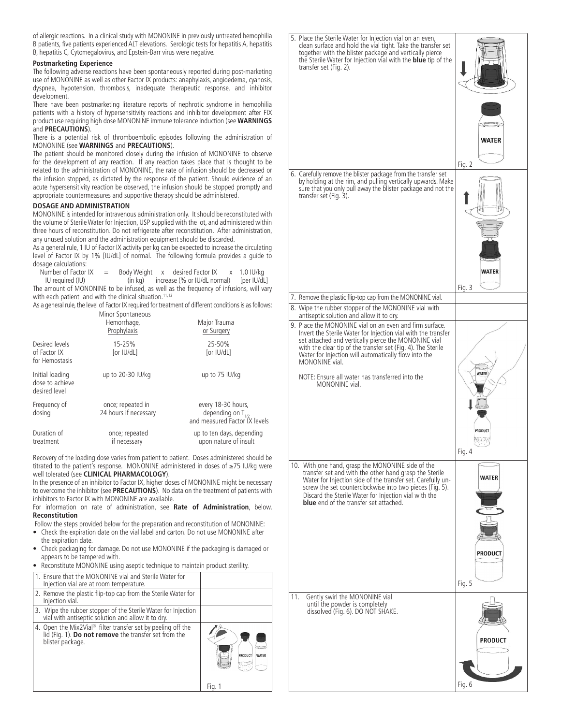of allergic reactions. In a clinical study with MONONINE in previously untreated hemophilia B patients, five patients experienced ALT elevations. Serologic tests for hepatitis A, hepatitis B, hepatitis C, Cytomegalovirus, and Epstein-Barr virus were negative.

### **Postmarketing Experience**

The following adverse reactions have been spontaneously reported during post-marketing use of MONONINE as well as other Factor IX products: anaphylaxis, angioedema, cyanosis, dyspnea, hypotension, thrombosis, inadequate therapeutic response, and inhibitor development.

There have been postmarketing literature reports of nephrotic syndrome in hemophilia patients with a history of hypersensitivity reactions and inhibitor development after FIX product use requiring high dose MONONINE immune tolerance induction (see **WARNINGS**  and **PRECAUTIONS**).

There is a potential risk of thromboembolic episodes following the administration of MONONINE (see **WARNINGS** and **PRECAUTIONS**).

The patient should be monitored closely during the infusion of MONONINE to observe for the development of any reaction. If any reaction takes place that is thought to be related to the administration of MONONINE, the rate of infusion should be decreased or the infusion stopped, as dictated by the response of the patient. Should evidence of an acute hypersensitivity reaction be observed, the infusion should be stopped promptly and appropriate countermeasures and supportive therapy should be administered.

### **DOSAGE AND ADMINISTRATION**

MONONINE is intended for intravenous administration only. It should be reconstituted with the volume of Sterile Water for Injection, USP supplied with the lot, and administered within three hours of reconstitution. Do not refrigerate after reconstitution. After administration, any unused solution and the administration equipment should be discarded.

As a general rule, 1 IU of Factor IX activity per kg can be expected to increase the circulating level of Factor IX by 1% [IU/dL] of normal. The following formula provides a guide to dosage calculations:

| Number of Factor $IX =$                                                                |  | Body Weight x desired Factor IX x 1.0 IU/kg          |  |
|----------------------------------------------------------------------------------------|--|------------------------------------------------------|--|
| IU required (IU)                                                                       |  | $(in kq)$ increase $(%$ or IU/dL normal) [per IU/dL] |  |
| The amount of MONONINE to be infused, as well as the frequency of infusions, will vary |  |                                                      |  |
| with each patient and with the clinical situation. <sup>11,12</sup>                    |  |                                                      |  |

As a general rule, the level of Factor IX required for treatment of different conditions is as follows: Minor Spontaneous

|                                                     | Hemorrhage,<br>Prophylaxis                 | Major Trauma<br>or Surgery                                                    |
|-----------------------------------------------------|--------------------------------------------|-------------------------------------------------------------------------------|
| Desired levels<br>of Factor IX<br>for Hemostasis    | 15-25%<br>for IU/dLI                       | 25-50%<br>for IU/dLl                                                          |
| Initial loading<br>dose to achieve<br>desired level | up to 20-30 IU/kg                          | up to 75 IU/kg                                                                |
| Frequency of<br>dosing                              | once; repeated in<br>24 hours if necessary | every 18-30 hours,<br>depending on $T_{1/2}$<br>and measured Factor IX levels |
| Duration of<br>treatment                            | once; repeated<br>if necessary             | up to ten days, depending<br>upon nature of insult                            |

Recovery of the loading dose varies from patient to patient. Doses administered should be titrated to the patient's response. MONONINE administered in doses of ≥75 IU/kg were well tolerated (see **CLINICAL PHARMACOLOGY**).

In the presence of an inhibitor to Factor IX, higher doses of MONONINE might be necessary to overcome the inhibitor (see **PRECAUTIONS**). No data on the treatment of patients with inhibitors to Factor IX with MONONINE are available.

For information on rate of administration, see **Rate of Administration**, below. **Reconstitution**

Follow the steps provided below for the preparation and reconstitution of MONONINE:

- Check the expiration date on the vial label and carton. Do not use MONONINE after the expiration date.
- Check packaging for damage. Do not use MONONINE if the packaging is damaged or appears to be tampered with.
- Reconstitute MONONINE using aseptic technique to maintain product sterility.

| 1. Ensure that the MONONINE vial and Sterile Water for<br>Injection vial are at room temperature.                                                         |                              |
|-----------------------------------------------------------------------------------------------------------------------------------------------------------|------------------------------|
| 2. Remove the plastic flip-top cap from the Sterile Water for<br>Injection vial.                                                                          |                              |
| 3. Wipe the rubber stopper of the Sterile Water for Injection<br>vial with antiseptic solution and allow it to dry.                                       |                              |
| 4. Open the Mix2Vial <sup>®</sup> filter transfer set by peeling off the lid (Fig. 1). <b>Do not remove</b> the transfer set from the<br>blister package. | æ<br>PRODUCT<br><b>WATER</b> |
|                                                                                                                                                           | Fig.                         |